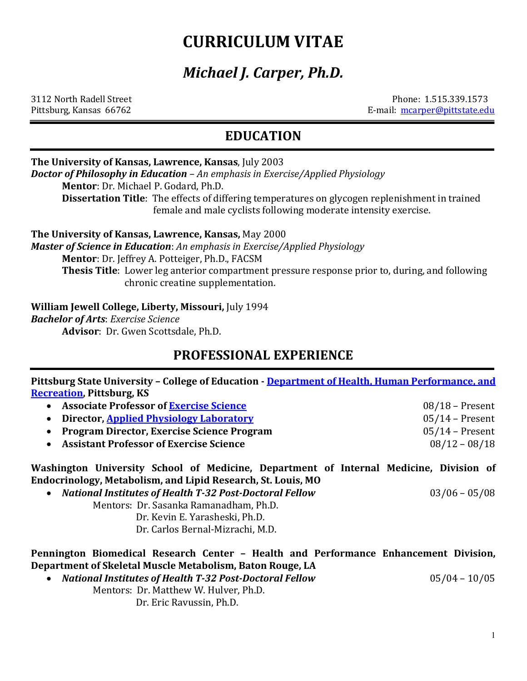# **CURRICULUM VITAE**

# *Michael J. Carper, Ph.D.*

3112 North Radell StreetPhone: 1.515.339.1573 Pittsburg, Kansas 66762E-mail: [mcarper@pittstate.edu](mailto:mcarper@pittstate.edu)

### **EDUCATION**

#### **The University of Kansas, Lawrence, Kansas**, July 2003

*Doctor of Philosophy in Education* – *An emphasis in Exercise/Applied Physiology*

**Mentor**: Dr. Michael P. Godard, Ph.D.

**Dissertation Title**: The effects of differing temperatures on glycogen replenishment in trained female and male cyclists following moderate intensity exercise.

**The University of Kansas, Lawrence, Kansas,** May 2000

*Master of Science in Education*: *An emphasis in Exercise/Applied Physiology* **Mentor**: Dr. Jeffrey A. Potteiger, Ph.D., FACSM

**Thesis Title**: Lower leg anterior compartment pressure response prior to, during, and following chronic creatine supplementation.

**William Jewell College, Liberty, Missouri,** July 1994

*Bachelor of Arts*: *Exercise Science*

**Advisor**: Dr. Gwen Scottsdale, Ph.D.

### **PROFESSIONAL EXPERIENCE**

**Pittsburg State University – College of Education - [Department of Health, Human Performance, and](https://www.pittstate.edu/education/hhpr/faculty-and-staff/mike-carper.html)  [Recreation,](https://www.pittstate.edu/education/hhpr/faculty-and-staff/mike-carper.html) Pittsburg, KS**

- **Associate Professor of [Exercise Science](https://academics.pittstate.edu/academic-programs/health-human-performance-and-recreation/exercise-science-degree.html)** 08/18 Present • **Director, [Applied Physiology](https://education.pittstate.edu/hhpr/applied-physiology-lab.html) Laboratory** 05/14 – Present • **Program Director, Exercise Science Program** 05/14 – Present
- **Assistant Professor of Exercise Science**

**Washington University School of Medicine, Department of Internal Medicine, Division of Endocrinology, Metabolism, and Lipid Research, St. Louis, MO**

• *National Institutes of Health T-32 Post-Doctoral Fellow*03/06 – 05/08 Mentors: Dr. Sasanka Ramanadham, Ph.D.

Dr. Kevin E. Yarasheski, Ph.D.

Dr. Carlos Bernal-Mizrachi, M.D.

**Pennington Biomedical Research Center – Health and Performance Enhancement Division, Department of Skeletal Muscle Metabolism, Baton Rouge, LA**

- *National Institutes of Health T-32 Post-Doctoral Fellow*05/04 10/05
	- Mentors: Dr. Matthew W. Hulver, Ph.D.

Dr. Eric Ravussin, Ph.D.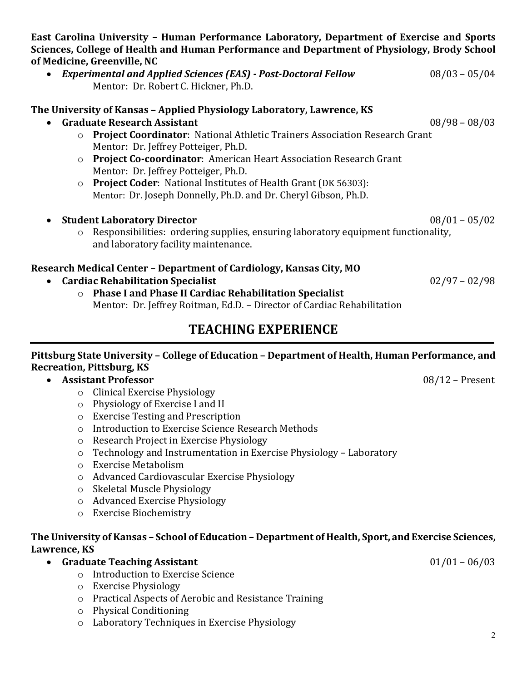**East Carolina University – Human Performance Laboratory, Department of Exercise and Sports Sciences, College of Health and Human Performance and Department of Physiology, Brody School of Medicine, Greenville, NC**

• *Experimental and Applied Sciences (EAS) - Post-Doctoral Fellow*08/03 – 05/04 Mentor: Dr. Robert C. Hickner, Ph.D.

• **Graduate Research Assistant** 08/98 – 08/03 o **Project Coordinator**: National Athletic Trainers Association Research Grant Mentor: Dr. Jeffrey Potteiger, Ph.D. o **Project Co-coordinator**: American Heart Association Research Grant Mentor: Dr. Jeffrey Potteiger, Ph.D. o **Project Coder**: National Institutes of Health Grant (DK 56303): Mentor: Dr. Joseph Donnelly, Ph.D. and Dr. Cheryl Gibson, Ph.D.

• **Student Laboratory Director** 08/01 – 05/02 o Responsibilities: ordering supplies, ensuring laboratory equipment functionality, and laboratory facility maintenance.

#### **Research Medical Center – Department of Cardiology, Kansas City, MO**

**The University of Kansas – Applied Physiology Laboratory, Lawrence, KS**

- **Cardiac Rehabilitation Specialist** 02/97 02/98
	- o **Phase I and Phase II Cardiac Rehabilitation Specialist** Mentor: Dr. Jeffrey Roitman, Ed.D. – Director of Cardiac Rehabilitation

## **TEACHING EXPERIENCE**

#### **Pittsburg State University – College of Education – Department of Health, Human Performance, and Recreation, Pittsburg, KS**

### • **Assistant Professor** 08/12 – Present

- o Clinical Exercise Physiology
- o Physiology of Exercise I and II
- o Exercise Testing and Prescription
- o Introduction to Exercise Science Research Methods
- o Research Project in Exercise Physiology
- o Technology and Instrumentation in Exercise Physiology Laboratory
- o Exercise Metabolism
- o Advanced Cardiovascular Exercise Physiology
- o Skeletal Muscle Physiology
- o Advanced Exercise Physiology
- o Exercise Biochemistry

#### **The University of Kansas – School of Education – Department of Health, Sport, and Exercise Sciences, Lawrence, KS**

- **Graduate Teaching Assistant** 01/01 06/03
	- o Introduction to Exercise Science
	- o Exercise Physiology
	- o Practical Aspects of Aerobic and Resistance Training
	- o Physical Conditioning
	- o Laboratory Techniques in Exercise Physiology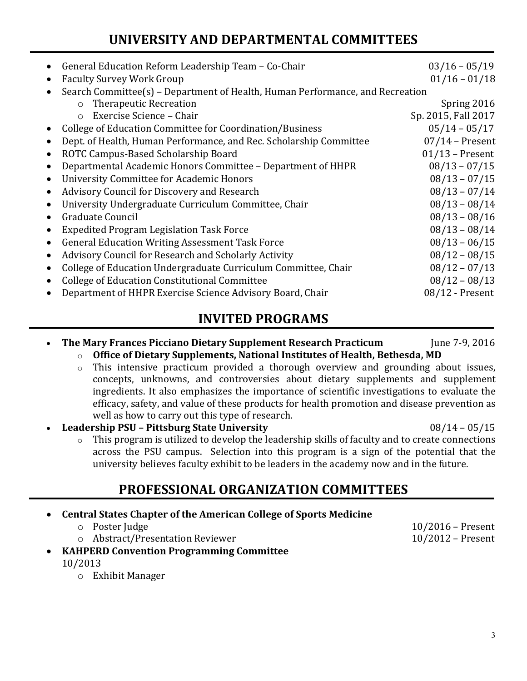## **UNIVERSITY AND DEPARTMENTAL COMMITTEES**

| General Education Reform Leadership Team - Co-Chair                           | $03/16 - 05/19$     |  |  |  |
|-------------------------------------------------------------------------------|---------------------|--|--|--|
| <b>Faculty Survey Work Group</b>                                              | $01/16 - 01/18$     |  |  |  |
| Search Committee(s) - Department of Health, Human Performance, and Recreation |                     |  |  |  |
| <b>Therapeutic Recreation</b><br>$\circ$                                      | Spring 2016         |  |  |  |
| Exercise Science - Chair<br>$\circ$                                           | Sp. 2015, Fall 2017 |  |  |  |
| College of Education Committee for Coordination/Business                      | $05/14 - 05/17$     |  |  |  |
| Dept. of Health, Human Performance, and Rec. Scholarship Committee            | $07/14$ – Present   |  |  |  |
| ROTC Campus-Based Scholarship Board                                           | $01/13$ – Present   |  |  |  |
| Departmental Academic Honors Committee - Department of HHPR                   | $08/13 - 07/15$     |  |  |  |
| <b>University Committee for Academic Honors</b>                               | $08/13 - 07/15$     |  |  |  |
| Advisory Council for Discovery and Research                                   | $08/13 - 07/14$     |  |  |  |
| University Undergraduate Curriculum Committee, Chair                          | $08/13 - 08/14$     |  |  |  |
| Graduate Council                                                              | $08/13 - 08/16$     |  |  |  |
| <b>Expedited Program Legislation Task Force</b>                               | $08/13 - 08/14$     |  |  |  |
| <b>General Education Writing Assessment Task Force</b>                        | $08/13 - 06/15$     |  |  |  |
| Advisory Council for Research and Scholarly Activity                          | $08/12 - 08/15$     |  |  |  |
| College of Education Undergraduate Curriculum Committee, Chair                | $08/12 - 07/13$     |  |  |  |
| <b>College of Education Constitutional Committee</b>                          | $08/12 - 08/13$     |  |  |  |
| Department of HHPR Exercise Science Advisory Board, Chair                     | $08/12$ - Present   |  |  |  |
|                                                                               |                     |  |  |  |

### **INVITED PROGRAMS**

- **The Mary Frances Picciano Dietary Supplement Research Practicum** June 7-9, 2016
	- o **Office of Dietary Supplements, National Institutes of Health, Bethesda, MD**
	- o This intensive practicum provided a thorough overview and grounding about issues, concepts, unknowns, and controversies about dietary supplements and supplement ingredients. It also emphasizes the importance of scientific investigations to evaluate the efficacy, safety, and value of these products for health promotion and disease prevention as well as how to carry out this type of research.
- **Leadership PSU – Pittsburg State University** 08/14 05/15
	- $\circ$  This program is utilized to develop the leadership skills of faculty and to create connections across the PSU campus. Selection into this program is a sign of the potential that the university believes faculty exhibit to be leaders in the academy now and in the future.

### **PROFESSIONAL ORGANIZATION COMMITTEES**

#### • **Central States Chapter of the American College of Sports Medicine**

| ○ Poster Judge                   | $10/2016$ – Present |
|----------------------------------|---------------------|
| o Abstract/Presentation Reviewer | $10/2012$ – Present |

- **KAHPERD Convention Programming Committee**
	- 10/2013
		- o Exhibit Manager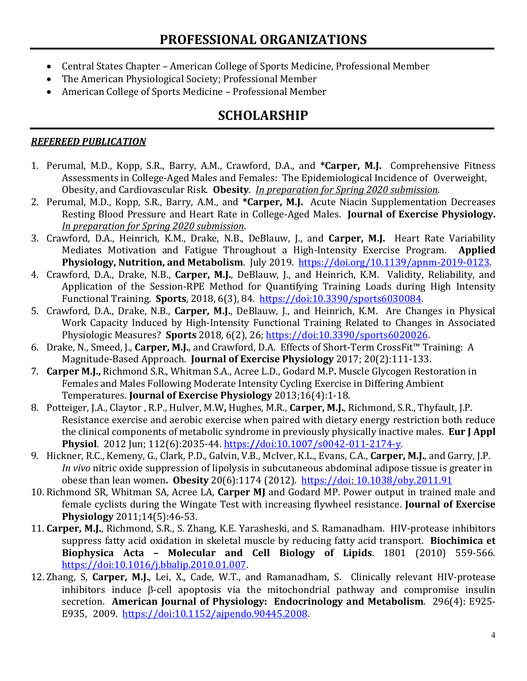## **PROFESSIONAL ORGANIZATIONS**

- Central States Chapter American College of Sports Medicine, Professional Member
- The American Physiological Society; Professional Member
- American College of Sports Medicine Professional Member

### **SCHOLARSHIP**

#### *REFEREED PUBLICATION*

- 1. Perumal, M.D., Kopp, S.R., Barry, A.M., Crawford, D.A., and **\*Carper, M.J.** Comprehensive Fitness Assessments in College-Aged Males and Females: The Epidemiological Incidence of Overweight, Obesity, and Cardiovascular Risk. **Obesity**. *In preparation for Spring 2020 submission*.
- 2. Perumal, M.D., Kopp, S.R., Barry, A.M., and **\*Carper, M.J.** Acute Niacin Supplementation Decreases Resting Blood Pressure and Heart Rate in College-Aged Males. **Journal of Exercise Physiology.** *In preparation for Spring 2020 submission*.
- 3. Crawford, D.A., Heinrich, K.M., Drake, N.B., DeBlauw, J., and **Carper, M.J.** Heart Rate Variability Mediates Motivation and Fatigue Throughout a High-Intensity Exercise Program. **Physiology, Nutrition, and Metabolism**. July 2019. [https://doi.org/10.1139/apnm-2019-0123.](https://doi.org/10.1139/apnm-2019-0123)
- 4. Crawford, D.A., Drake, N.B., **Carper, M.J.**, DeBlauw, J., and Heinrich, K.M. Validity, Reliability, and Application of the Session-RPE Method for Quantifying Training Loads during High Intensity Functional Training. **Sports**, 2018, 6(3), 84. [https://doi:10.3390/sports6030084.](https://doi:10.3390/sports6030084)
- 5. Crawford, D.A., Drake, N.B., **Carper, M.J.**, DeBlauw, J., and Heinrich, K.M. Are Changes in Physical Work Capacity Induced by High-Intensity Functional Training Related to Changes in Associated Physiologic Measures? **Sports** 2018, 6(2), 26; [https://doi:10.3390/sports6020026.](https://doi:10.3390/sports6020026)
- 6. Drake, N., Smeed, J., **Carper, M.J.**, and Crawford, D.A. Effects of Short-Term CrossFit™ Training: A Magnitude-Based Approach. **Journal of Exercise Physiology** 2017; 20(2):111-133.
- 7. **Carper M.J.,** Richmond S.R., Whitman S.A., Acree L.D., Godard M.P**.** Muscle Glycogen Restoration in Females and Males Following Moderate Intensity Cycling Exercise in Differing Ambient Temperatures. **Journal of Exercise Physiology** 2013;16(4):1-18.
- 8. Potteiger, J.A., Claytor , R.P., Hulver, M.W**,** Hughes, M.R., **Carper, M.J.**, Richmond, S.R., Thyfault, J.P. Resistance exercise and aerobic exercise when paired with dietary energy restriction both reduce the clinical components of metabolic syndrome in previously physically inactive males. **Eur J Appl Physiol**. 2012 Jun; 112(6):2035-44. https:**//**[doi:10.1007/s0042-011-2174-y.](https://doi:10.1007/s0042-011-2174-y)
- 9. Hickner, R.C., Kemeny, G., Clark, P.D., Galvin, V.B., McIver, K.L., Evans, C.A., **Carper, M.J.**, and Garry, J.P. *In vivo* nitric oxide suppression of lipolysis in subcutaneous abdominal adipose tissue is greater in obese than lean women**. Obesity** 20(6):1174 (2012). [https://doi:](https://doi/) [10.1038/oby.2011.91](https://doi.org/10.1038/oby.2011.91)
- 10. Richmond SR, Whitman SA, Acree LA, **Carper MJ** and Godard MP. Power output in trained male and female cyclists during the Wingate Test with increasing flywheel resistance. **Journal of Exercise Physiology** 2011;14(5):46-53.
- 11. **Carper, M.J.**, Richmond, S.R., S. Zhang, K.E. Yarasheski, and S. Ramanadham. HIV-protease inhibitors suppress fatty acid oxidation in skeletal muscle by reducing fatty acid transport. **Biochimica et Biophysica Acta – Molecular and Cell Biology of Lipids**. 1801 (2010) 559-566. [https://doi:10.1016/j.bbalip.2010.01.007.](https://doi:10.1016/j.bbalip.2010.01.007)
- 12. Zhang, S, **Carper, M.J.**, Lei, X., Cade, W.T., and Ramanadham, S. Clinically relevant HIV-protease inhibitors induce β-cell apoptosis via the mitochondrial pathway and compromise insulin secretion. **American Journal of Physiology: Endocrinology and Metabolism**. 296(4): E925- E935, 2009. [https://doi:10.1152/ajpendo.90445.2008.](https://doi:10.1152/ajpendo.90445.2008)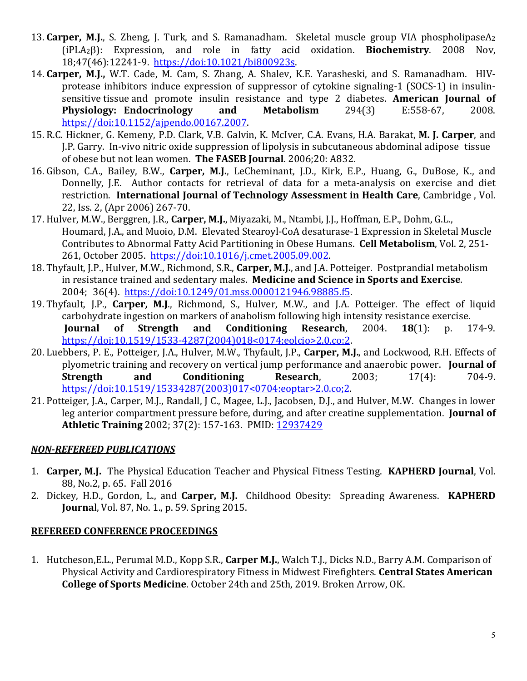- 13. **Carper, M.J.**, S. Zheng, J. Turk, and S. Ramanadham. Skeletal muscle group VIA phospholipaseA2 (iPLA2β): Expression, and role in fatty acid oxidation. **Biochemistry**. 2008 Nov, 18;47(46):12241-9. [https://doi:10.1021/bi800923s.](https://doi:10.1021/bi800923s)
- 14. **Carper, M.J.,** W.T. Cade, M. Cam, S. Zhang, A. Shalev, K.E. Yarasheski, and S. Ramanadham. HIVprotease inhibitors induce expression of suppressor of cytokine signaling-1 (SOCS-1) in insulinsensitive tissue and promote insulin resistance and type 2 diabetes. **American Journal of Physiology: Endocrinology** [https://doi:10.1152/ajpendo.00167.2007.](https://doi:10.1152/ajpendo.00167.2007)
- 15. R.C. Hickner, G. Kemeny, P.D. Clark, V.B. Galvin, K. McIver, C.A. Evans, H.A. Barakat, **M. J. Carper**, and J.P. Garry. In-vivo nitric oxide suppression of lipolysis in subcutaneous abdominal adipose tissue of obese but not lean women. **The FASEB Journal**. 2006;20: A832.
- 16. Gibson, C.A., Bailey, B.W., **Carper, M.J.**, LeCheminant, J.D., Kirk, E.P., Huang, G., DuBose, K., and Donnelly, J.E. Author contacts for retrieval of data for a meta-analysis on exercise and diet restriction. **International Journal of Technology Assessment in Health Care**, Cambridge , Vol. 22, Iss. 2, (Apr 2006) 267-70.
- 17. Hulver, M.W., Berggren, J.R., **Carper, M.J.**, Miyazaki, M., Ntambi, J.J., Hoffman, E.P., Dohm, G.L., Houmard, J.A., and Muoio, D.M. Elevated Stearoyl-CoA desaturase-1 Expression in Skeletal Muscle Contributes to Abnormal Fatty Acid Partitioning in Obese Humans. **Cell Metabolism**, Vol. 2, 251- 261, October 2005. [https://doi:10.1016/j.cmet.2005.09.002.](https://doi:10.1016/j.cmet.2005.09.002)
- 18. Thyfault, J.P., Hulver, M.W., Richmond, S.R., **Carper, M.J.**, and J.A. Potteiger. Postprandial metabolism in resistance trained and sedentary males. **Medicine and Science in Sports and Exercise**. 2004; 36(4). [https://doi:10.1249/01.mss.0000121946.98885.f5.](https://doi:10.1249/01.mss.0000121946.98885.f5)
- 19. Thyfault, J.P., **Carper, M.J**., Richmond, S., Hulver, M.W., and J.A. Potteiger. The effect of liquid carbohydrate ingestion on markers of anabolism following high intensity resistance exercise.<br> **Journal of Strength and Conditioning Research**, 2004. **18**(1): p. 174-9. **Conditioning** [https://doi:10.1519/1533-4287\(2004\)018<0174:eolcio>2.0.co;2.](https://doi:10.1519/1533-4287(2004)018%3c0174:eolcio%3e2.0.co;2)
- 20. Luebbers, P. E., Potteiger, J.A., Hulver, M.W., Thyfault, J.P., **Carper, M.J.**, and Lockwood, R.H. Effects of plyometric training and recovery on vertical jump performance and anaerobic power. **Journal of Conditioning** [https://doi:10.1519/15334287\(2003\)017<0704:eoptar>2.0.co;2.](https://doi:10.1519/15334287(2003)017%3c0704:eoptar%3e2.0.co;2)
- 21. Potteiger, J.A., Carper, M.J., Randall, J C., Magee, L.J., Jacobsen, D.J., and Hulver, M.W. Changes in lower leg anterior compartment pressure before, during, and after creatine supplementation. **Journal of Athletic Training** 2002; 37(2): 157-163. PMID: [12937429](https://www.ncbi.nlm.nih.gov/pubmed/12937429)

#### *NON-REFEREED PUBLICATIONS*

- 1. **Carper, M.J.** The Physical Education Teacher and Physical Fitness Testing. **KAPHERD Journal**, Vol. 88, No.2, p. 65. Fall 2016
- 2. Dickey, H.D., Gordon, L., and **Carper, M.J.** Childhood Obesity: Spreading Awareness. **KAPHERD Journa**l, Vol. 87, No. 1., p. 59. Spring 2015.

#### **REFEREED CONFERENCE PROCEEDINGS**

1. Hutcheson,E.L., Perumal M.D., Kopp S.R., **Carper M.J.**, Walch T.J., Dicks N.D., Barry A.M. Comparison of Physical Activity and Cardiorespiratory Fitness in Midwest Firefighters. **Central States American College of Sports Medicine**. October 24th and 25th, 2019. Broken Arrow, OK.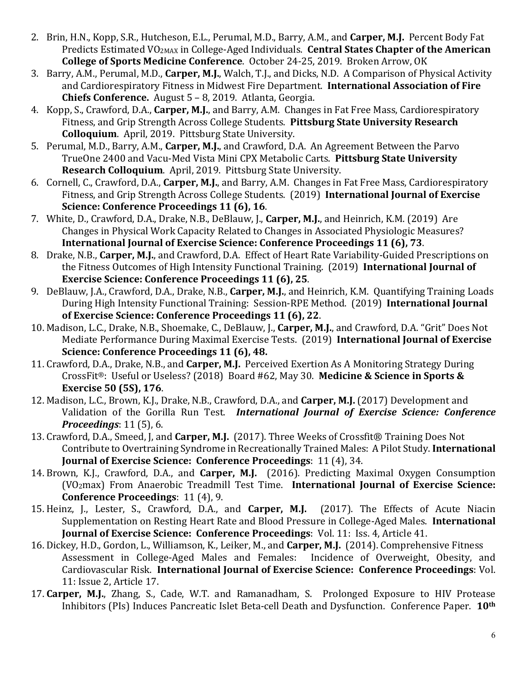- 2. Brin, H.N., Kopp, S.R., Hutcheson, E.L., Perumal, M.D., Barry, A.M., and **Carper, M.J.** Percent Body Fat Predicts Estimated VO2MAX in College-Aged Individuals. **Central States Chapter of the American College of Sports Medicine Conference**. October 24-25, 2019. Broken Arrow, OK
- 3. Barry, A.M., Perumal, M.D., **Carper, M.J.**, Walch, T.J., and Dicks, N.D. A Comparison of Physical Activity and Cardiorespiratory Fitness in Midwest Fire Department. **International Association of Fire Chiefs Conference.** August 5 – 8, 2019. Atlanta, Georgia.
- 4. Kopp, S., Crawford, D.A., **Carper, M.J.**, and Barry, A.M. Changes in Fat Free Mass, Cardiorespiratory Fitness, and Grip Strength Across College Students. **Pittsburg State University Research Colloquium**. April, 2019. Pittsburg State University.
- 5. Perumal, M.D., Barry, A.M., **Carper, M.J.**, and Crawford, D.A. An Agreement Between the Parvo TrueOne 2400 and Vacu-Med Vista Mini CPX Metabolic Carts. **Pittsburg State University Research Colloquium**. April, 2019. Pittsburg State University.
- 6. Cornell, C., Crawford, D.A., **Carper, M.J.**, and Barry, A.M. Changes in Fat Free Mass, Cardiorespiratory Fitness, and Grip Strength Across College Students. (2019) **International Journal of Exercise Science: Conference Proceedings 11 (6), 16**.
- 7. White, D., Crawford, D.A., Drake, N.B., DeBlauw, J., **Carper, M.J.**, and Heinrich, K.M. (2019) Are Changes in Physical Work Capacity Related to Changes in Associated Physiologic Measures? **International Journal of Exercise Science: Conference Proceedings 11 (6), 73**.
- 8. Drake, N.B., **Carper, M.J.**, and Crawford, D.A. Effect of Heart Rate Variability-Guided Prescriptions on the Fitness Outcomes of High Intensity Functional Training. (2019) **International Journal of Exercise Science: Conference Proceedings 11 (6), 25**.
- 9. DeBlauw, J.A., Crawford, D.A., Drake, N.B., **Carper, M.J.**, and Heinrich, K.M. Quantifying Training Loads During High Intensity Functional Training: Session-RPE Method. (2019) **International Journal of Exercise Science: Conference Proceedings 11 (6), 22**.
- 10. Madison, L.C., Drake, N.B., Shoemake, C., DeBlauw, J., **Carper, M.J.**, and Crawford, D.A. "Grit" Does Not Mediate Performance During Maximal Exercise Tests. (2019) **International Journal of Exercise Science: Conference Proceedings 11 (6), 48.**
- 11. Crawford, D.A., Drake, N.B., and **Carper, M.J.** Perceived Exertion As A Monitoring Strategy During CrossFit®: Useful or Useless? (2018) Board #62, May 30. **Medicine & Science in Sports & Exercise 50 (5S), 176**.
- 12. Madison, L.C., Brown, K.J., Drake, N.B., Crawford, D.A., and **Carper, M.J.** (2017) Development and Validation of the Gorilla Run Test. *International Journal of Exercise Science: Conference Proceedings*: 11 (5), 6.
- 13. Crawford, D.A., Smeed, J, and **Carper, M.J.** (2017). Three Weeks of Crossfit® Training Does Not Contribute to Overtraining Syndrome in Recreationally Trained Males: A Pilot Study. **International Journal of Exercise Science: Conference Proceedings**: 11 (4), 34.
- 14. Brown, K.J., Crawford, D.A., and **Carper, M.J.** (2016). Predicting Maximal Oxygen Consumption (VO2max) From Anaerobic Treadmill Test Time. **International Journal of Exercise Science: Conference Proceedings**: 11 (4), 9.
- 15. Heinz, J., Lester, S., Crawford, D.A., and **Carper, M.J.** (2017). The Effects of Acute Niacin Supplementation on Resting Heart Rate and Blood Pressure in College-Aged Males. **International Journal of Exercise Science: Conference Proceedings**: Vol. 11: Iss. 4, Article 41.
- 16. Dickey, H.D., Gordon, L., Williamson, K., Leiker, M., and **Carper, M.J.** (2014). Comprehensive Fitness Assessment in College-Aged Males and Females: Cardiovascular Risk. **International Journal of Exercise Science: Conference Proceedings**: Vol. 11: Issue 2, Article 17.
- 17. **Carper, M.J.**, Zhang, S., Cade, W.T. and Ramanadham, S. Prolonged Exposure to HIV Protease Inhibitors (PIs) Induces Pancreatic Islet Beta-cell Death and Dysfunction. Conference Paper. **10th**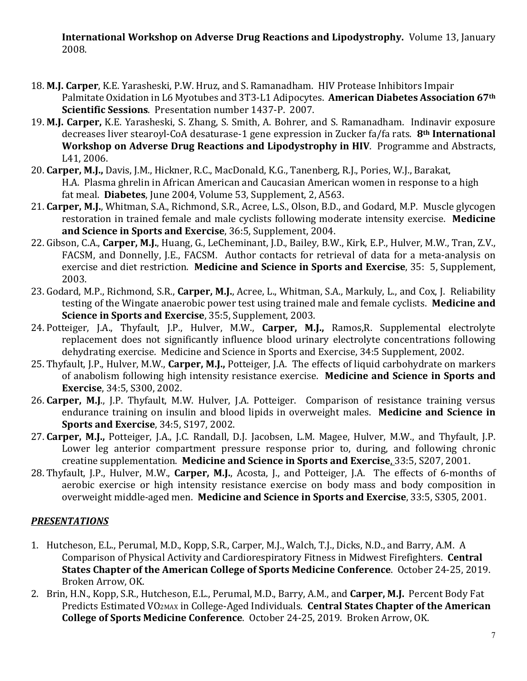**International Workshop on Adverse Drug Reactions and Lipodystrophy.** Volume 13, January 2008.

- 18. **M.J. Carper**, K.E. Yarasheski, P.W. Hruz, and S. Ramanadham. HIV Protease Inhibitors Impair Palmitate Oxidation in L6 Myotubes and 3T3-L1 Adipocytes. **American Diabetes Association 67th Scientific Sessions**. Presentation number 1437-P. 2007.
- 19. **M.J. Carper,** K.E. Yarasheski, S. Zhang, S. Smith, A. Bohrer, and S. Ramanadham. Indinavir exposure decreases liver stearoyl-CoA desaturase-1 gene expression in Zucker fa/fa rats. **8th International Workshop on Adverse Drug Reactions and Lipodystrophy in HIV**. Programme and Abstracts, L41, 2006.
- 20. **Carper, M.J.,** Davis, J.M., Hickner, R.C., MacDonald, K.G., Tanenberg, R.J., Pories, W.J., Barakat, H.A. Plasma ghrelin in African American and Caucasian American women in response to a high fat meal. **Diabetes**, June 2004, Volume 53, Supplement, 2, A563.
- 21. **Carper, M.J.**, Whitman, S.A., Richmond, S.R., Acree, L.S., Olson, B.D., and Godard, M.P. Muscle glycogen restoration in trained female and male cyclists following moderate intensity exercise. **Medicine and Science in Sports and Exercise**, 36:5, Supplement, 2004.
- 22. Gibson, C.A., **Carper, M.J.**, Huang, G., LeCheminant, J.D., Bailey, B.W., Kirk, E.P., Hulver, M.W., Tran, Z.V., FACSM, and Donnelly, J.E., FACSM. Author contacts for retrieval of data for a meta-analysis on exercise and diet restriction. **Medicine and Science in Sports and Exercise**, 35: 5, Supplement, 2003.
- 23. Godard, M.P., Richmond, S.R., **Carper, M.J.**, Acree, L., Whitman, S.A., Markuly, L., and Cox, J. Reliability testing of the Wingate anaerobic power test using trained male and female cyclists. **Medicine and Science in Sports and Exercise**, 35:5, Supplement, 2003.
- 24. Potteiger, J.A., Thyfault, J.P., Hulver, M.W., **Carper, M.J.,** Ramos,R. Supplemental electrolyte replacement does not significantly influence blood urinary electrolyte concentrations following dehydrating exercise. Medicine and Science in Sports and Exercise, 34:5 Supplement, 2002.
- 25. Thyfault, J.P., Hulver, M.W., **Carper, M.J.,** Potteiger, J.A. The effects of liquid carbohydrate on markers of anabolism following high intensity resistance exercise. **Medicine and Science in Sports and Exercise**, 34:5, S300, 2002.
- 26. **Carper, M.J**., J.P. Thyfault, M.W. Hulver, J.A. Potteiger. Comparison of resistance training versus endurance training on insulin and blood lipids in overweight males. **Medicine and Science in Sports and Exercise**, 34:5, S197, 2002.
- 27. **Carper, M.J.,** Potteiger, J.A., J.C. Randall, D.J. Jacobsen, L.M. Magee, Hulver, M.W., and Thyfault, J.P. Lower leg anterior compartment pressure response prior to, during, and following chronic creatine supplementation. **Medicine and Science in Sports and Exercise**, 33:5, S207, 2001.
- 28. Thyfault, J.P., Hulver, M.W., **Carper, M.J.**, Acosta, J., and Potteiger, J.A. The effects of 6-months of aerobic exercise or high intensity resistance exercise on body mass and body composition in overweight middle-aged men. **Medicine and Science in Sports and Exercise**, 33:5, S305, 2001.

#### *PRESENTATIONS*

- 1. Hutcheson, E.L., Perumal, M.D., Kopp, S.R., Carper, M.J., Walch, T.J., Dicks, N.D., and Barry, A.M. A Comparison of Physical Activity and Cardiorespiratory Fitness in Midwest Firefighters. **Central States Chapter of the American College of Sports Medicine Conference**. October 24-25, 2019. Broken Arrow, OK.
- 2. Brin, H.N., Kopp, S.R., Hutcheson, E.L., Perumal, M.D., Barry, A.M., and **Carper, M.J.** Percent Body Fat Predicts Estimated VO2MAX in College-Aged Individuals. **Central States Chapter of the American College of Sports Medicine Conference**. October 24-25, 2019. Broken Arrow, OK.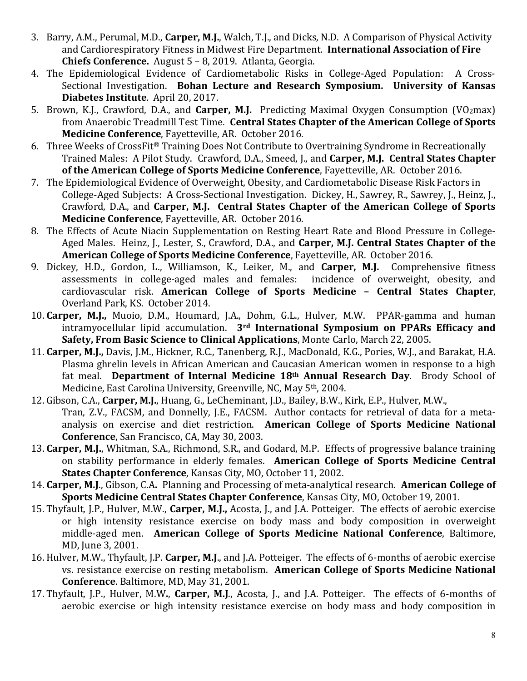- 3. Barry, A.M., Perumal, M.D., **Carper, M.J.**, Walch, T.J., and Dicks, N.D. A Comparison of Physical Activity and Cardiorespiratory Fitness in Midwest Fire Department. **International Association of Fire Chiefs Conference.** August 5 – 8, 2019. Atlanta, Georgia.
- 4. The Epidemiological Evidence of Cardiometabolic Risks in College-Aged Population: A Cross-Sectional Investigation. **Bohan Lecture and Research Symposium. University of Kansas Diabetes Institute**. April 20, 2017.
- 5. Brown, K.J., Crawford, D.A., and **Carper, M.J.** Predicting Maximal Oxygen Consumption (VO2max) from Anaerobic Treadmill Test Time. **Central States Chapter of the American College of Sports Medicine Conference**, Fayetteville, AR. October 2016.
- 6. Three Weeks of CrossFit® Training Does Not Contribute to Overtraining Syndrome in Recreationally Trained Males: A Pilot Study. Crawford, D.A., Smeed, J., and **Carper, M.J. Central States Chapter of the American College of Sports Medicine Conference**, Fayetteville, AR. October 2016.
- 7. The Epidemiological Evidence of Overweight, Obesity, and Cardiometabolic Disease Risk Factors in College-Aged Subjects: A Cross-Sectional Investigation. Dickey, H., Sawrey, R., Sawrey, J., Heinz, J., Crawford, D.A., and **Carper, M.J. Central States Chapter of the American College of Sports Medicine Conference**, Fayetteville, AR. October 2016.
- 8. The Effects of Acute Niacin Supplementation on Resting Heart Rate and Blood Pressure in College-Aged Males. Heinz, J., Lester, S., Crawford, D.A., and **Carper, M.J. Central States Chapter of the American College of Sports Medicine Conference**, Fayetteville, AR. October 2016.
- 9. Dickey, H.D., Gordon, L., Williamson, K., Leiker, M., and **Carper, M.J.** Comprehensive fitness assessments in college-aged males and females: cardiovascular risk. **American College of Sports Medicine – Central States Chapter**, Overland Park, KS. October 2014.
- 10. **Carper, M.J.,** Muoio, D.M., Houmard, J.A., Dohm, G.L., Hulver, M.W. PPAR-gamma and human intramyocellular lipid accumulation. **3rd International Symposium on PPARs Efficacy and Safety, From Basic Science to Clinical Applications**, Monte Carlo, March 22, 2005.
- 11. **Carper, M.J.,** Davis, J.M., Hickner, R.C., Tanenberg, R.J., MacDonald, K.G., Pories, W.J., and Barakat, H.A. Plasma ghrelin levels in African American and Caucasian American women in response to a high fat meal. **Department of Internal Medicine 18th Annual Research Day**. Brody School of Medicine, East Carolina University, Greenville, NC, May 5th, 2004.
- 12. Gibson, C.A., **Carper, M.J.**, Huang, G., LeCheminant, J.D., Bailey, B.W., Kirk, E.P., Hulver, M.W., Tran, Z.V., FACSM, and Donnelly, J.E., FACSM. Author contacts for retrieval of data for a metaanalysis on exercise and diet restriction. **American College of Sports Medicine National Conference**, San Francisco, CA, May 30, 2003.
- 13. **Carper, M.J.**, Whitman, S.A., Richmond, S.R., and Godard, M.P. Effects of progressive balance training on stability performance in elderly females. **American College of Sports Medicine Central States Chapter Conference**, Kansas City, MO, October 11, 2002.
- 14. **Carper, M.J**., Gibson, C.A**.** Planning and Processing of meta-analytical research. **American College of Sports Medicine Central States Chapter Conference**, Kansas City, MO, October 19, 2001.
- 15. Thyfault, J.P., Hulver, M.W., **Carper, M.J.,** Acosta, J., and J.A. Potteiger. The effects of aerobic exercise or high intensity resistance exercise on body mass and body composition in overweight middle-aged men. **American College of Sports Medicine National Conference**, Baltimore, MD, June 3, 2001.
- 16. Hulver, M.W., Thyfault, J.P. **Carper, M.J**., and J.A. Potteiger. The effects of 6-months of aerobic exercise vs. resistance exercise on resting metabolism. **American College of Sports Medicine National Conference**. Baltimore, MD, May 31, 2001.
- 17. Thyfault, J.P., Hulver, M.W**.**, **Carper, M.J**., Acosta, J., and J.A. Potteiger. The effects of 6-months of aerobic exercise or high intensity resistance exercise on body mass and body composition in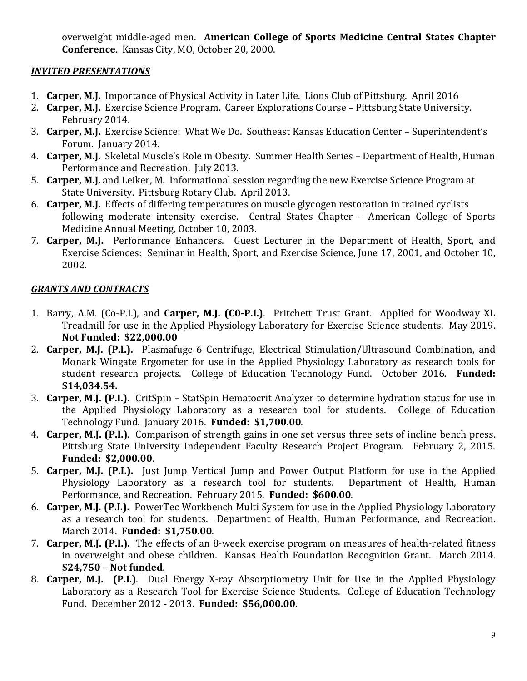overweight middle-aged men. **American College of Sports Medicine Central States Chapter Conference**. Kansas City, MO, October 20, 2000.

#### *INVITED PRESENTATIONS*

- 1. **Carper, M.J.** Importance of Physical Activity in Later Life. Lions Club of Pittsburg. April 2016
- 2. **Carper, M.J.** Exercise Science Program. Career Explorations Course Pittsburg State University. February 2014.
- 3. **Carper, M.J.** Exercise Science: What We Do. Southeast Kansas Education Center Superintendent's Forum. January 2014.
- 4. **Carper, M.J.** Skeletal Muscle's Role in Obesity. Summer Health Series Department of Health, Human Performance and Recreation. July 2013.
- 5. **Carper, M.J.** and Leiker, M. Informational session regarding the new Exercise Science Program at State University. Pittsburg Rotary Club. April 2013.
- 6. **Carper, M.J.** Effects of differing temperatures on muscle glycogen restoration in trained cyclists following moderate intensity exercise. Central States Chapter – American College of Sports Medicine Annual Meeting, October 10, 2003.
- 7. **Carper, M.J.** Performance Enhancers. Guest Lecturer in the Department of Health, Sport, and Exercise Sciences: Seminar in Health, Sport, and Exercise Science, June 17, 2001, and October 10, 2002.

#### *GRANTS AND CONTRACTS*

- 1. Barry, A.M. (Co-P.I.), and **Carper, M.J. (C0-P.I.)**. Pritchett Trust Grant. Applied for Woodway XL Treadmill for use in the Applied Physiology Laboratory for Exercise Science students. May 2019. **Not Funded: \$22,000.00**
- 2. **Carper, M.J. (P.I.).** Plasmafuge-6 Centrifuge, Electrical Stimulation/Ultrasound Combination, and Monark Wingate Ergometer for use in the Applied Physiology Laboratory as research tools for student research projects. College of Education Technology Fund. October 2016. **Funded: \$14,034.54.**
- 3. **Carper, M.J. (P.I.).** CritSpin StatSpin Hematocrit Analyzer to determine hydration status for use in the Applied Physiology Laboratory as a research tool for students. College of Education Technology Fund. January 2016. **Funded: \$1,700.00**.
- 4. **Carper, M.J. (P.I.)**. Comparison of strength gains in one set versus three sets of incline bench press. Pittsburg State University Independent Faculty Research Project Program. February 2, 2015. **Funded: \$2,000.00**.
- 5. **Carper, M.J. (P.I.).** Just Jump Vertical Jump and Power Output Platform for use in the Applied Physiology Laboratory as a research tool for students. Performance, and Recreation. February 2015. **Funded: \$600.00**.
- 6. **Carper, M.J. (P.I.).** PowerTec Workbench Multi System for use in the Applied Physiology Laboratory as a research tool for students. Department of Health, Human Performance, and Recreation. March 2014. **Funded: \$1,750.00**.
- 7. **Carper, M.J. (P.I.).** The effects of an 8-week exercise program on measures of health-related fitness in overweight and obese children. Kansas Health Foundation Recognition Grant. March 2014. **\$24,750 – Not funded**.
- 8. **Carper, M.J. (P.I.)**. Dual Energy X-ray Absorptiometry Unit for Use in the Applied Physiology Laboratory as a Research Tool for Exercise Science Students. College of Education Technology Fund. December 2012 - 2013. **Funded: \$56,000.00**.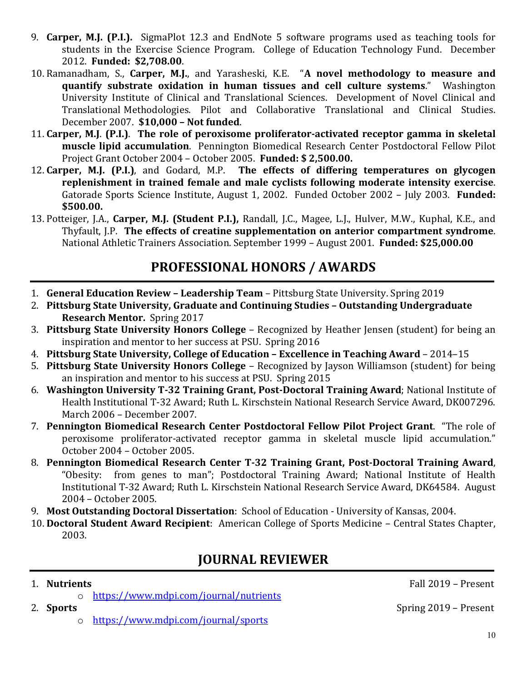- 9. **Carper, M.J. (P.I.).** SigmaPlot 12.3 and EndNote 5 software programs used as teaching tools for students in the Exercise Science Program. College of Education Technology Fund. December 2012. **Funded: \$2,708.00**.
- 10. Ramanadham, S., **Carper, M.J.**, and Yarasheski, K.E. "**A novel methodology to measure and quantify substrate oxidation in human tissues and cell culture systems**." Washington University Institute of Clinical and Translational Sciences. Development of Novel Clinical and Translational Methodologies. Pilot and Collaborative Translational and Clinical Studies. December 2007. **\$10,000 – Not funded**.
- 11. **Carper, M.J**. **(P.I.)**. **The role of peroxisome proliferator-activated receptor gamma in skeletal muscle lipid accumulation**. Pennington Biomedical Research Center Postdoctoral Fellow Pilot Project Grant October 2004 – October 2005. **Funded: \$ 2,500.00.**
- 12. **Carper, M.J. (P.I.)**, and Godard, M.P. **The effects of differing temperatures on glycogen replenishment in trained female and male cyclists following moderate intensity exercise**. Gatorade Sports Science Institute, August 1, 2002. Funded October 2002 – July 2003. **Funded: \$500.00.**
- 13. Potteiger, J.A., **Carper, M.J. (Student P.I.),** Randall, J.C., Magee, L.J., Hulver, M.W., Kuphal, K.E., and Thyfault, J.P. **The effects of creatine supplementation on anterior compartment syndrome**. National Athletic Trainers Association. September 1999 – August 2001. **Funded: \$25,000.00**

## **PROFESSIONAL HONORS / AWARDS**

- 1. **General Education Review – Leadership Team** Pittsburg State University. Spring 2019
- 2. **Pittsburg State University, Graduate and Continuing Studies – Outstanding Undergraduate Research Mentor.** Spring 2017
- 3. **Pittsburg State University Honors College**  Recognized by Heather Jensen (student) for being an inspiration and mentor to her success at PSU. Spring 2016
- 4. **Pittsburg State University, College of Education – Excellence in Teaching Award** 2014–15
- 5. **Pittsburg State University Honors College** Recognized by Jayson Williamson (student) for being an inspiration and mentor to his success at PSU. Spring 2015
- 6. **Washington University T-32 Training Grant, Post-Doctoral Training Award**; National Institute of Health Institutional T-32 Award; Ruth L. Kirschstein National Research Service Award, DK007296. March 2006 – December 2007.
- 7. **Pennington Biomedical Research Center Postdoctoral Fellow Pilot Project Grant**. "The role of peroxisome proliferator-activated receptor gamma in skeletal muscle lipid accumulation." October 2004 – October 2005.
- 8. **Pennington Biomedical Research Center T-32 Training Grant, Post-Doctoral Training Award**, "Obesity: from genes to man"; Postdoctoral Training Award; National Institute of Health Institutional T-32 Award; Ruth L. Kirschstein National Research Service Award, DK64584. August 2004 – October 2005.
- 9. **Most Outstanding Doctoral Dissertation**: School of Education University of Kansas, 2004.
- 10. **Doctoral Student Award Recipient**: American College of Sports Medicine Central States Chapter, 2003.

## **JOURNAL REVIEWER**

- 
- o <u>https://www.mdpi.com/journal/nutrients</u><br>2. **Sports**

1. **Nutrients** Fall 2019 – Present

- - o <https://www.mdpi.com/journal/sports>

2. **Sports** Spring 2019 – Present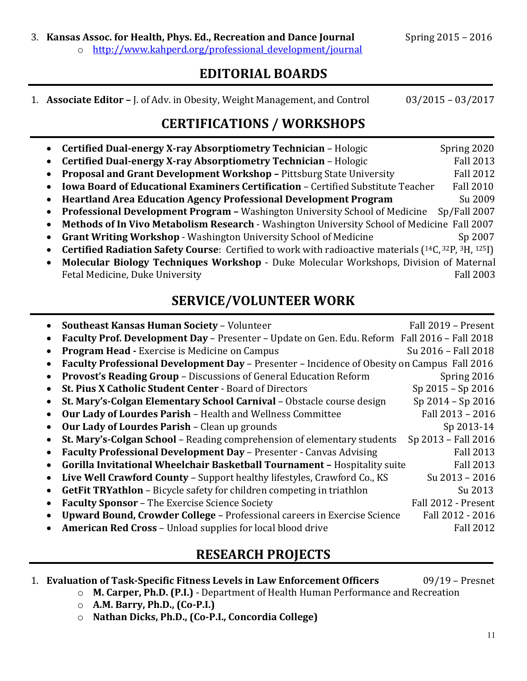#### 3. **Kansas Assoc. for Health, Phys. Ed., Recreation and Dance Journal** Spring 2015 - 2016

o [http://www.kahperd.org/professional\\_development/journal](http://www.kahperd.org/professional_development/journal)

### **EDITORIAL BOARDS**

1. **Associate Editor –** J. of Adv. in Obesity, Weight Management, and Control03/2015 – 03/2017

## **CERTIFICATIONS / WORKSHOPS**

|           | Certified Dual-energy X-ray Absorptiometry Technician - Hologic                                               | Spring 2020      |
|-----------|---------------------------------------------------------------------------------------------------------------|------------------|
| $\bullet$ | Certified Dual-energy X-ray Absorptiometry Technician - Hologic                                               | <b>Fall 2013</b> |
| $\bullet$ | Proposal and Grant Development Workshop - Pittsburg State University                                          | <b>Fall 2012</b> |
| $\bullet$ | <b>Iowa Board of Educational Examiners Certification - Certified Substitute Teacher</b>                       | <b>Fall 2010</b> |
| $\bullet$ | <b>Heartland Area Education Agency Professional Development Program</b>                                       | Su 2009          |
| $\bullet$ | <b>Professional Development Program - Washington University School of Medicine</b>                            | Sp/Fall 2007     |
| $\bullet$ | Methods of In Vivo Metabolism Research - Washington University School of Medicine Fall 2007                   |                  |
| $\bullet$ | <b>Grant Writing Workshop - Washington University School of Medicine</b>                                      | Sp 2007          |
| $\bullet$ | <b>Certified Radiation Safety Course:</b> Certified to work with radioactive materials $(14C, 32P, 3H, 125I)$ |                  |
| $\bullet$ | Molecular Biology Techniques Workshop - Duke Molecular Workshops, Division of Maternal                        |                  |
|           | Fetal Medicine, Duke University                                                                               | <b>Fall 2003</b> |

## **SERVICE/VOLUNTEER WORK**

| <b>Southeast Kansas Human Society - Volunteer</b>                                            | Fall 2019 - Present |
|----------------------------------------------------------------------------------------------|---------------------|
| Faculty Prof. Development Day - Presenter - Update on Gen. Edu. Reform Fall 2016 - Fall 2018 |                     |
| <b>Program Head - Exercise is Medicine on Campus</b>                                         | Su 2016 - Fall 2018 |
| Faculty Professional Development Day - Presenter - Incidence of Obesity on Campus Fall 2016  |                     |
| Provost's Reading Group - Discussions of General Education Reform                            | Spring 2016         |
| St. Pius X Catholic Student Center - Board of Directors                                      | Sp 2015 - Sp 2016   |
| St. Mary's-Colgan Elementary School Carnival - Obstacle course design                        | Sp 2014 - Sp 2016   |
| Our Lady of Lourdes Parish - Health and Wellness Committee                                   | Fall 2013 - 2016    |
| Our Lady of Lourdes Parish - Clean up grounds                                                | Sp 2013-14          |
| St. Mary's-Colgan School – Reading comprehension of elementary students                      | Sp 2013 - Fall 2016 |
| Faculty Professional Development Day - Presenter - Canvas Advising                           | <b>Fall 2013</b>    |
| Gorilla Invitational Wheelchair Basketball Tournament - Hospitality suite                    | <b>Fall 2013</b>    |
| Live Well Crawford County - Support healthy lifestyles, Crawford Co., KS                     | Su 2013 - 2016      |
| <b>GetFit TRYathlon</b> – Bicycle safety for children competing in triathlon                 | Su 2013             |
| <b>Faculty Sponsor - The Exercise Science Society</b>                                        | Fall 2012 - Present |
| Upward Bound, Crowder College - Professional careers in Exercise Science                     | Fall 2012 - 2016    |
| <b>American Red Cross - Unload supplies for local blood drive</b>                            | <b>Fall 2012</b>    |
|                                                                                              |                     |

## **RESEARCH PROJECTS**

1. **Evaluation of Task-Specific Fitness Levels in Law Enforcement Officers** 09/19 – Presnet

- o **M. Carper, Ph.D. (P.I.)** Department of Health Human Performance and Recreation
	- o **A.M. Barry, Ph.D., (Co-P.I.)**
	- o **Nathan Dicks, Ph.D., (Co-P.I., Concordia College)**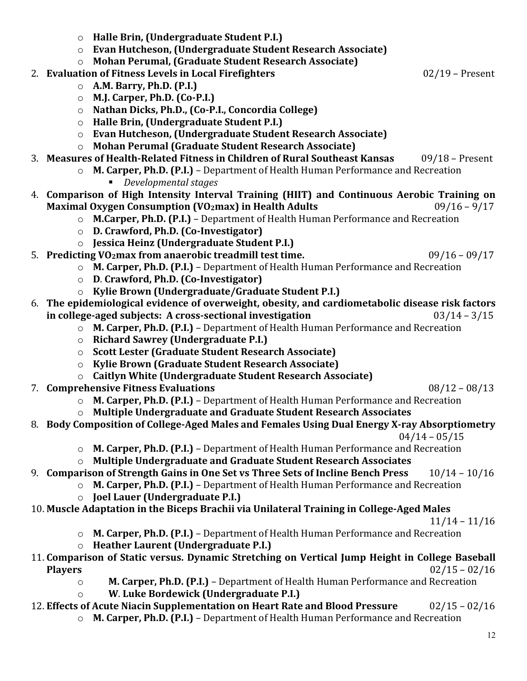- o **Halle Brin, (Undergraduate Student P.I.)** o **Evan Hutcheson, (Undergraduate Student Research Associate)** o **Mohan Perumal, (Graduate Student Research Associate)** 2. **Evaluation of Fitness Levels in Local Firefighters** 02/19 – Present o **A.M. Barry, Ph.D. (P.I.)** o **M.J. Carper, Ph.D. (Co-P.I.)** o **Nathan Dicks, Ph.D., (Co-P.I., Concordia College)** o **Halle Brin, (Undergraduate Student P.I.)** o **Evan Hutcheson, (Undergraduate Student Research Associate)** o **Mohan Perumal (Graduate Student Research Associate)** 3. **Measures of Health-Related Fitness in Children of Rural Southeast Kansas** 09/18 – Present o **M. Carper, Ph.D. (P.I.)** – Department of Health Human Performance and Recreation *Developmental stages*  4. **Comparison of High Intensity Interval Training (HIIT) and Continuous Aerobic Training on Maximal Oxygen Consumption (VO2max) in Health Adults** o **M.Carper, Ph.D. (P.I.)** – Department of Health Human Performance and Recreation o **D. Crawford, Ph.D. (Co-Investigator)** o **Jessica Heinz (Undergraduate Student P.I.)** 5. **Predicting VO2max from anaerobic treadmill test time.** 09/16 – 09/17 o **M. Carper, Ph.D. (P.I.)** – Department of Health Human Performance and Recreation o **D**. **Crawford, Ph.D. (Co-Investigator)** o **Kylie Brown (Undergraduate/Graduate Student P.I.)** 6. **The epidemiological evidence of overweight, obesity, and cardiometabolic disease risk factors in college-aged subjects: A cross-sectional investigation** 03/14 – 3/15 o **M. Carper, Ph.D. (P.I.)** – Department of Health Human Performance and Recreation o **Richard Sawrey (Undergraduate P.I.)** o **Scott Lester (Graduate Student Research Associate)** o **Kylie Brown (Graduate Student Research Associate)** o **Caitlyn White (Undergraduate Student Research Associate)** 7. **Comprehensive Fitness Evaluations** 08/12 – 08/13 o **M. Carper, Ph.D. (P.I.)** – Department of Health Human Performance and Recreation o **Multiple Undergraduate and Graduate Student Research Associates** 8. **Body Composition of College-Aged Males and Females Using Dual Energy X-ray Absorptiometry**  $04/14 - 05/15$ o **M. Carper, Ph.D. (P.I.)** – Department of Health Human Performance and Recreation o **Multiple Undergraduate and Graduate Student Research Associates** 9. **Comparison of Strength Gains in One Set vs Three Sets of Incline Bench Press** 10/14 – 10/16 o **M. Carper, Ph.D. (P.I.)** – Department of Health Human Performance and Recreation o **Joel Lauer (Undergraduate P.I.)** 10. **Muscle Adaptation in the Biceps Brachii via Unilateral Training in College-Aged Males** 11/14 – 11/16 o **M. Carper, Ph.D. (P.I.)** – Department of Health Human Performance and Recreation o **Heather Laurent (Undergraduate P.I.)** 11. **Comparison of Static versus. Dynamic Stretching on Vertical Jump Height in College Baseball Players** 02/15 – 02/16 o **M. Carper, Ph.D. (P.I.)** – Department of Health Human Performance and Recreation o **W**. **Luke Bordewick (Undergraduate P.I.)** 12. **Effects of Acute Niacin Supplementation on Heart Rate and Blood Pressure** 02/15 – 02/16
	- o **M. Carper, Ph.D. (P.I.)** Department of Health Human Performance and Recreation